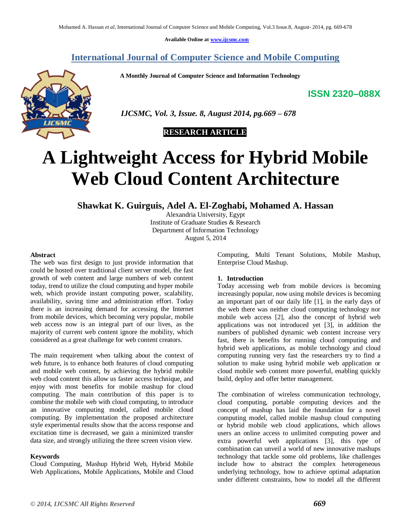**Available Online at [www.ijcsmc.com](http://www.ijcsmc.com/)**

## **International Journal of Computer Science and Mobile Computing**

 **A Monthly Journal of Computer Science and Information Technology**

**ISSN 2320–088X**



 *IJCSMC, Vol. 3, Issue. 8, August 2014, pg.669 – 678*

# **RESEARCH ARTICLE**

# **A Lightweight Access for Hybrid Mobile Web Cloud Content Architecture**

**Shawkat K. Guirguis, Adel A. El-Zoghabi, Mohamed A. Hassan**

Alexandria University, Egypt Institute of Graduate Studies & Research Department of Information Technology

August 5, 2014

#### **Abstract**

The web was first design to just provide information that could be hosted over traditional client server model, the fast growth of web content and large numbers of web content today, trend to utilize the cloud computing and hyper mobile web, which provide instant computing power, scalability, availability, saving time and administration effort. Today there is an increasing demand for accessing the Internet from mobile devices, which becoming very popular, mobile web access now is an integral part of our lives, as the majority of current web content ignore the mobility, which considered as a great challenge for web content creators.

The main requirement when talking about the context of web future, is to enhance both features of cloud computing and mobile web content, by achieving the hybrid mobile web cloud content this allow us faster access technique, and enjoy with most benefits for mobile mashup for cloud computing. The main contribution of this paper is to combine the mobile web with cloud computing, to introduce an innovative computing model, called mobile cloud computing. By implementation the proposed architecture style experimental results show that the access response and excitation time is decreased, we gain a minimized transfer data size, and strongly utilizing the three screen vision view.

#### **Keywords**

Cloud Computing, Mashup Hybrid Web, Hybrid Mobile Web Applications, Mobile Applications, Mobile and Cloud Computing, Multi Tenant Solutions, Mobile Mashup, Enterprise Cloud Mashup.

#### **1. Introduction**

Today accessing web from mobile devices is becoming increasingly popular, now using mobile devices is becoming an important part of our daily life [1], in the early days of the web there was neither cloud computing technology nor mobile web access [2], also the concept of hybrid web applications was not introduced yet [3], in addition the numbers of published dynamic web content increase very fast, there is benefits for running cloud computing and hybrid web applications, as mobile technology and cloud computing running very fast the researchers try to find a solution to make using hybrid mobile web application or cloud mobile web content more powerful, enabling quickly build, deploy and offer better management.

The combination of wireless communication technology, cloud computing, portable computing devices and the concept of mashup has laid the foundation for a novel computing model, called mobile mashup cloud computing or hybrid mobile web cloud applications, which allows users an online access to unlimited computing power and extra powerful web applications [3], this type of combination can unveil a world of new innovative mashups technology that tackle some old problems, like challenges include how to abstract the complex heterogeneous underlying technology, how to achieve optimal adaptation under different constraints, how to model all the different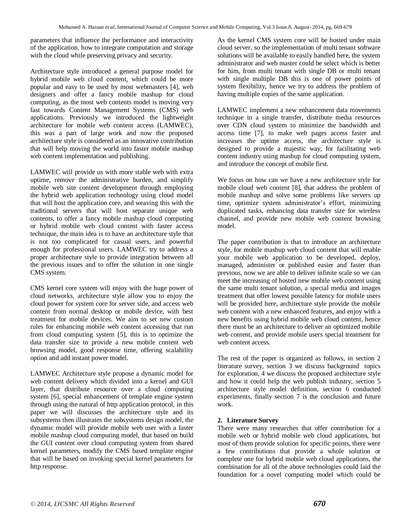parameters that influence the performance and interactivity of the application, how to integrate computation and storage with the cloud while preserving privacy and security.

Architecture style introduced a general purpose model for hybrid mobile web cloud content, which could be more popular and easy to be used by most webmasters [4], web designers and offer a fancy mobile mashup for cloud computing, as the most web contents model is moving very fast towards Content Management Systems (CMS) web applications. Previously we introduced the lightweight architecture for mobile web content access (LAMWEC), this was a part of large work and now the proposed architecture style is considered as an innovative contribution that will help moving the world into faster mobile mashup web content implementation and publishing.

LAMWEC will provide us with more stable web with extra uptime, remove the administrative burden, and simplify mobile web site content development through employing the hybrid web application technology using cloud model that will host the application core, and weaving this with the traditional servers that will host separate unique web contents, to offer a fancy mobile mashup cloud computing or hybrid mobile web cloud content with faster access technique, the main idea is to have an architecture style that is not too complicated for casual users, and powerful enough for professional users. LAMWEC try to address a proper architecture style to provide integration between all the previous issues and to offer the solution in one single CMS system.

CMS kernel core system will enjoy with the huge power of cloud networks, architecture style allow you to enjoy the cloud power for system core for server side, and access web content from normal desktop or mobile device, with best treatment for mobile devices. We aim to set new custom rules for enhancing mobile web content accessing that run from cloud computing system [5], this is to optimize the data transfer size to provide a new mobile content web browsing model, good response time, offering scalability option and add instant power model.

LAMWEC Architecture style propose a dynamic model for web content delivery which divided into a kernel and GUI layer, that distribute resource over a cloud computing system [6], special enhancement of template engine system through using the natural of http application protocol, in this paper we will discusses the architecture style and its subsystems then illustrates the subsystems design model, the dynamic model will provide mobile web user with a faster mobile mashup cloud computing model, that based on build the GUI content over cloud computing system from shared kernel parameters, modify the CMS based template engine that will be based on invoking special kernel parameters for http response.

As the kernel CMS system core will be hosted under main cloud server, so the implementation of multi tenant software solutions will be available to easily handled here, the system administrator and web master could be select which is better for him, from multi tenant with single DB or multi tenant with single multiple DB this is one of power points of system flexibility, hence we try to address the problem of having multiple copies of the same application.

LAMWEC implement a new enhancement data movements technique in a single transfer, distribute media resources over CDN cloud system to minimize the bandwidth and access time [7], to make web pages access faster and increases the uptime access, the architecture style is designed to provide a majestic way, for facilitating web content industry using mashup for cloud computing system, and introduce the concept of mobile first.

We focus on how can we have a new architecture style for mobile cloud web content [8], that address the problem of mobile mashup and solve some problems like servers up time, optimize system administrator's effort, minimizing duplicated tasks, enhancing data transfer size for wireless channel, and provide new mobile web content browsing model.

The paper contribution is that to introduce an architecture style, for mobile mashup web cloud content that will enable your mobile web application to be developed, deploy, managed, administer or published easier and faster than previous, now we are able to deliver infinite scale so we can meet the increasing of hosted new mobile web content using the same multi tenant solution, a special media and images treatment that offer lowest possible latency for mobile users will be provided here, architecture style provide the mobile web content with a new enhanced features, and enjoy with a new benefits using hybrid mobile web cloud content, hence there must be an architecture to deliver an optimized mobile web content, and provide mobile users special treatment for web content access.

The rest of the paper is organized as follows, in section 2 literature survey, section 3 we discuss background topics for exploration, 4 we discuss the proposed architecture style and how it could help the web publish industry, section 5 architecture style model definition, section 6 conducted experiments, finally section 7 is the conclusion and future work.

## **2. Literature Survey**

There were many researches that offer contribution for a mobile web or hybrid mobile web cloud applications, but most of them provide solution for specific points, there were a few contributions that provide a whole solution or complete one for hybrid mobile web cloud applications, the combination for all of the above technologies could laid the foundation for a novel computing model which could be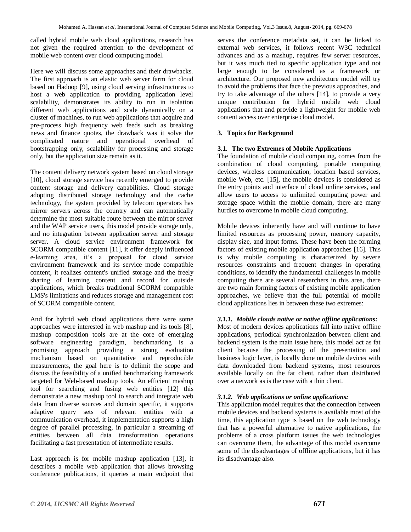called hybrid mobile web cloud applications, research has not given the required attention to the development of mobile web content over cloud computing model.

Here we will discuss some approaches and their drawbacks. The first approach is an elastic web server farm for cloud based on Hadoop [9], using cloud serving infrastructures to host a web application to providing application level scalability, demonstrates its ability to run in isolation different web applications and scale dynamically on a cluster of machines, to run web applications that acquire and pre-process high frequency web feeds such as breaking news and finance quotes, the drawback was it solve the complicated nature and operational overhead of bootstrapping only, scalability for processing and storage only, but the application size remain as it.

The content delivery network system based on cloud storage [10], cloud storage service has recently emerged to provide content storage and delivery capabilities. Cloud storage adopting distributed storage technology and the cache technology, the system provided by telecom operators has mirror servers across the country and can automatically determine the most suitable route between the mirror server and the WAP service users, this model provide storage only, and no integration between application server and storage server. A cloud service environment framework for SCORM compatible content [11], it offer deeply influenced e-learning area, it's a proposal for cloud service environment framework and its service mode compatible content, it realizes content's unified storage and the freely sharing of learning content and record for outside applications, which breaks traditional SCORM compatible LMS's limitations and reduces storage and management cost of SCORM compatible content.

And for hybrid web cloud applications there were some approaches were interested in web mashup and its tools [8], mashup composition tools are at the core of emerging software engineering paradigm, benchmarking is a promising approach providing a strong evaluation mechanism based on quantitative and reproducible measurements, the goal here is to delimit the scope and discuss the feasibility of a unified benchmarking framework targeted for Web-based mashup tools. An efficient mashup tool for searching and fusing web entities [12] this demonstrate a new mashup tool to search and integrate web data from diverse sources and domain specific, it supports adaptive query sets of relevant entities with a communication overhead, it implementation supports a high degree of parallel processing, in particular a streaming of entities between all data transformation operations facilitating a fast presentation of intermediate results.

Last approach is for mobile mashup application [13], it describes a mobile web application that allows browsing conference publications, it queries a main endpoint that serves the conference metadata set, it can be linked to external web services, it follows recent W3C technical advances and as a mashup, requires few server resources, but it was much tied to specific application type and not large enough to be considered as a framework or architecture. Our proposed new architecture model will try to avoid the problems that face the previous approaches, and try to take advantage of the others [14], to provide a very unique contribution for hybrid mobile web cloud applications that and provide a lightweight for mobile web content access over enterprise cloud model.

#### **3. Topics for Background**

#### **3.1. The two Extremes of Mobile Applications**

The foundation of mobile cloud computing, comes from the combination of cloud computing, portable computing devices, wireless communication, location based services, mobile Web, etc. [15], the mobile devices is considered as the entry points and interface of cloud online services, and allow users to access to unlimited computing power and storage space within the mobile domain, there are many hurdles to overcome in mobile cloud computing.

Mobile devices inherently have and will continue to have limited resources as processing power, memory capacity, display size, and input forms. These have been the forming factors of existing mobile application approaches [16]. This is why mobile computing is characterized by severe resources constraints and frequent changes in operating conditions, to identify the fundamental challenges in mobile computing there are several researchers in this area, there are two main forming factors of existing mobile application approaches, we believe that the full potential of mobile cloud applications lies in between these two extremes:

## *3.1.1. Mobile clouds native or native offline applications:*

Most of modern devices applications fall into native offline applications, periodical synchronization between client and backend system is the main issue here, this model act as fat client because the processing of the presentation and business logic layer, is locally done on mobile devices with data downloaded from backend systems, most resources available locally on the fat client, rather than distributed over a network as is the case with a thin client.

## *3.1.2. Web applications or online applications:*

This application model requires that the connection between mobile devices and backend systems is available most of the time, this application type is based on the web technology that has a powerful alternative to native applications, the problems of a cross platform issues the web technologies can overcome them, the advantage of this model overcome some of the disadvantages of offline applications, but it has its disadvantage also.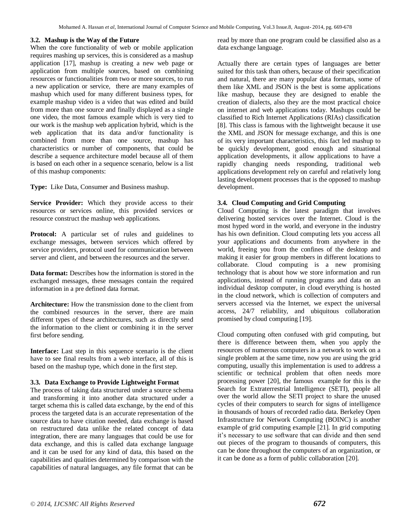#### **3.2. Mashup is the Way of the Future**

When the core functionality of web or mobile application requires mashing up services, this is considered as a mashup application [17], mashup is creating a new web page or application from multiple sources, based on combining resources or functionalities from two or more sources, to run a new application or service, there are many examples of mashup which used for many different business types, for example mashup video is a video that was edited and build from more than one source and finally displayed as a single one video, the most famous example which is very tied to our work is the mashup web application hybrid, which is the web application that its data and/or functionality is combined from more than one source, mashup has characteristics or number of components, that could be describe a sequence architecture model because all of them is based on each other in a sequence scenario, below is a list of this mashup components:

**Type:** Like Data, Consumer and Business mashup.

**Service Provider:** Which they provide access to their resources or services online, this provided services or resource construct the mashup web applications.

**Protocol:** A particular set of rules and guidelines to exchange messages, between services which offered by service providers, protocol used for communication between server and client, and between the resources and the server.

**Data format:** Describes how the information is stored in the exchanged messages, these messages contain the required information in a pre defined data format.

**Architecture:** How the transmission done to the client from the combined resources in the server, there are main different types of these architectures, such as directly send the information to the client or combining it in the server first before sending.

**Interface:** Last step in this sequence scenario is the client have to see final results from a web interface, all of this is based on the mashup type, which done in the first step.

## **3.3. Data Exchange to Provide Lightweight Format**

The process of taking data structured under a source schema and transforming it into another data structured under a target schema this is called data exchange, by the end of this process the targeted data is an accurate representation of the source data to have citation needed, data exchange is based on restructured data unlike the related concept of data integration, there are many languages that could be use for data exchange, and this is called data exchange language and it can be used for any kind of data, this based on the capabilities and qualities determined by comparison with the capabilities of natural languages, any file format that can be

read by more than one program could be classified also as a data exchange language.

Actually there are certain types of languages are better suited for this task than others, because of their specification and natural, there are many popular data formats, some of them like XML and JSON is the best is some applications like mashup, because they are designed to enable the creation of dialects, also they are the most practical choice on internet and web applications today. Mashups could be classified to Rich Internet Applications (RIAs) classification [8]. This class is famous with the lightweight because it use the XML and JSON for message exchange, and this is one of its very important characteristics, this fact led mashup to be quickly development, good enough and situational application developments, it allow applications to have a rapidly changing needs responding, traditional web applications development rely on careful and relatively long lasting development processes that is the opposed to mashup development.

## **3.4. Cloud Computing and Grid Computing**

Cloud Computing is the latest paradigm that involves delivering hosted services over the Internet. Cloud is the most hyped word in the world, and everyone in the industry has his own definition. Cloud computing lets you access all your applications and documents from anywhere in the world, freeing you from the confines of the desktop and making it easier for group members in different locations to collaborate. Cloud computing is a new promising technology that is about how we store information and run applications, instead of running programs and data on an individual desktop computer, in cloud everything is hosted in the cloud network, which is collection of computers and servers accessed via the Internet, we expect the universal access, 24/7 reliability, and ubiquitous collaboration promised by cloud computing [19].

Cloud computing often confused with grid computing, but there is difference between them, when you apply the resources of numerous computers in a network to work on a single problem at the same time, now you are using the grid computing, usually this implementation is used to address a scientific or technical problem that often needs more processing power [20], the famous example for this is the Search for Extraterrestrial Intelligence (SETI), people all over the world allow the SETI project to share the unused cycles of their computers to search for signs of intelligence in thousands of hours of recorded radio data. Berkeley Open Infrastructure for Network Computing (BOINC) is another example of grid computing example [21]. In grid computing it's necessary to use software that can divide and then send out pieces of the program to thousands of computers, this can be done throughout the computers of an organization, or it can be done as a form of public collaboration [20].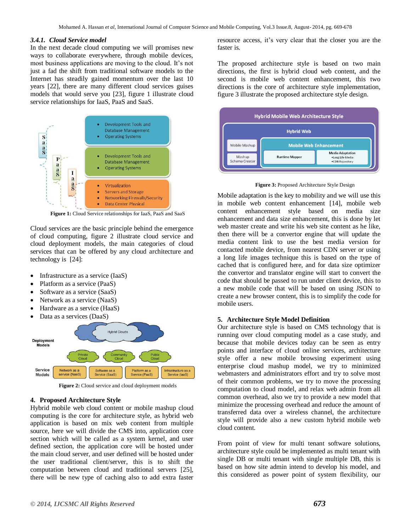#### *3.4.1. Cloud Service model*

In the next decade cloud computing we will promises new ways to collaborate everywhere, through mobile devices, most business applications are moving to the cloud. It's not just a fad the shift from traditional software models to the Internet has steadily gained momentum over the last 10 years [22], there are many different cloud services guises models that would serve you [23], figure 1 illustrate cloud service relationships for IaaS, PaaS and SaaS.



**Figure 1:** Cloud Service relationships for IaaS, PaaS and SaaS

Cloud services are the basic principle behind the emergence of cloud computing, figure 2 illustrate cloud service and cloud deployment models, the main categories of cloud services that can be offered by any cloud architecture and technology is [24]:

- Infrastructure as a service (IaaS)
- Platform as a service (PaaS)
- Software as a service (SaaS)
- Network as a service (NaaS)
- Hardware as a service (HaaS)
- Data as a services (DaaS)



**Figure 2:** Cloud service and cloud deployment models

#### **4. Proposed Architecture Style**

Hybrid mobile web cloud content or mobile mashup cloud computing is the core for architecture style, as hybrid web application is based on mix web content from multiple source, here we will divide the CMS into, application core section which will be called as a system kernel, and user defined section, the application core will be hosted under the main cloud server, and user defined will be hosted under the user traditional client/server, this is to shift the computation between cloud and traditional servers [25], there will be new type of caching also to add extra faster

resource access, it's very clear that the closer you are the faster is.

The proposed architecture style is based on two main directions, the first is hybrid cloud web content, and the second is mobile web content enhancement, this two directions is the core of architecture style implementation, figure 3 illustrate the proposed architecture style design.



**Figure 3:** Proposed Architecture Style Design

Mobile adaptation is the key to mobility and we will use this in mobile web content enhancement [14], mobile web content enhancement style based on media size enhancement and data size enhancement, this is done by let web master create and write his web site content as he like, then there will be a convertor engine that will update the media content link to use the best media version for contacted mobile device, from nearest CDN server or using a long life images technique this is based on the type of cached that is configured here, and for data size optimizer the convertor and translator engine will start to convert the code that should be passed to run under client device, this to a new mobile code that will be based on using JSON to create a new browser content, this is to simplify the code for mobile users.

#### **5. Architecture Style Model Definition**

Our architecture style is based on CMS technology that is running over cloud computing model as a case study, and because that mobile devices today can be seen as entry points and interface of cloud online services, architecture style offer a new mobile browsing experiment using enterprise cloud mashup model, we try to minimized webmasters and administrators effort and try to solve most of their common problems, we try to move the processing computation to cloud model, and relax web admin from all common overhead, also we try to provide a new model that minimize the processing overhead and reduce the amount of transferred data over a wireless channel, the architecture style will provide also a new custom hybrid mobile web cloud content.

From point of view for multi tenant software solutions, architecture style could be implemented as multi tenant with single DB or multi tenant with single multiple DB, this is based on how site admin intend to develop his model, and this considered as power point of system flexibility, our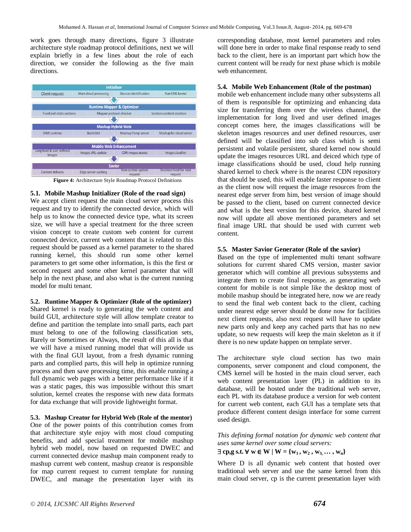work goes through many directions, figure 3 illustrate architecture style roadmap protocol definitions, next we will explain briefly in a few lines about the role of each direction, we consider the following as the five main directions.



**Figure 4:** Architecture Style Roadmap Protocol Definitions

#### **5.1. Mobile Mashup Initializer (Role of the road sign)**

We accept client request the main cloud server process this request and try to identify the connected device, which will help us to know the connected device type, what its screen size, we will have a special treatment for the three screen vision concept to create custom web content for current connected device, current web content that is related to this request should be passed as a kernel parameter to the shared running kernel, this should run some other kernel parameters to get some other information, is this the first or second request and some other kernel parameter that will help in the next phase, and also what is the current running model for multi tenant.

#### **5.2. Runtime Mapper & Optimizer (Role of the optimizer)**

Shared kernel is ready to generating the web content and build GUI, architecture style will allow template creator to define and partition the template into small parts, each part must belong to one of the following classification sets, Rarely or Sometimes or Always, the result of this all is that we will have a mixed running model that will provide us with the final GUI layout, from a fresh dynamic running parts and complied parts, this will help in optimize running process and then save processing time, this enable running a full dynamic web pages with a better performance like if it was a static pages, this was impossible without this smart solution, kernel creates the response with new data formats for data exchange that will provide lightweight format.

## **5.3. Mashup Creator for Hybrid Web (Role of the mentor)**

One of the power points of this contribution comes from that architecture style enjoy with most cloud computing benefits, and add special treatment for mobile mashup hybrid web model, now based on requested DWEC and current connected device mashup main component ready to mashup current web content, mashup creator is responsible for map current request to current template for running DWEC, and manage the presentation layer with its

corresponding database, most kernel parameters and roles will done here in order to make final response ready to send back to the client, here is an important part which how the current content will be ready for next phase which is mobile web enhancement.

#### **5.4. Mobile Web Enhancement (Role of the postman)**

mobile web enhancement include many other subsystems all of them is responsible for optimizing and enhancing data size for transferring them over the wireless channel, the implementation for long lived and user defined images concept comes here, the images classifications will be skeleton images resources and user defined resources, user defined will be classified into sub class which is semi persistent and volatile persistent, shared kernel now should update the images resources URL and deiced which type of image classifications should be used, cloud help running shared kernel to check where is the nearest CDN repository that should be used, this will enable faster response to client as the client now will request the image resources from the nearest edge server from him, best version of image should be passed to the client, based on current connected device and what is the best version for this device, shared kernel now will update all above mentioned parameters and set final image URL that should be used with current web content.

## **5.5. Master Savior Generator (Role of the savior)**

Based on the type of implemented multi tenant software solutions for current shared CMS version, master savior generator which will combine all previous subsystems and integrate them to create final response, as generating web content for mobile is not simple like the desktop most of mobile mashup should be integrated here, now we are ready to send the final web content back to the client, caching under nearest edge server should be done now for facilities next client requests, also next request will have to update new parts only and keep any cached parts that has no new update, so new requests will keep the main skeleton as it if there is no new update happen on template server.

The architecture style cloud section has two main components, server component and cloud component, the CMS kernel will be hosted in the main cloud server, each web content presentation layer (PL) in addition to its database, will be hosted under the traditional web server, each PL with its database produce a version for web content for current web content, each GUI has a template sets that produce different content design interface for some current used design.

*This defining formal notation for dynamic web content that uses same kernel over some cloud servers:*

## $\exists$  **cp,g** s.t.  $\forall$  **w** ∈ **W** | **W** = {**w**<sub>1</sub>, **w**<sub>2</sub>, **w**<sub>3</sub> …, **w**<sub>n</sub>}

Where D is all dynamic web content that hosted over traditional web server and use the same kernel from this main cloud server, cp is the current presentation layer with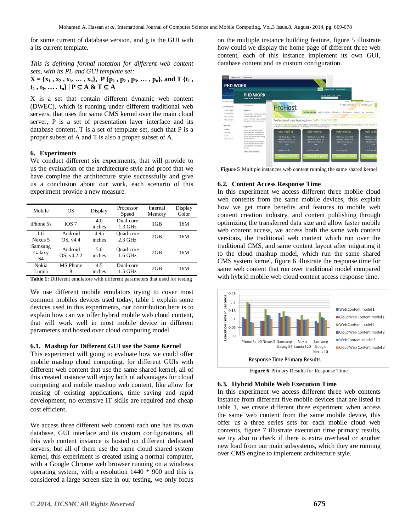for some current of database version, and g is the GUI with a its current template.

#### *This is defining formal notation for different web content sets, with its PL and GUI template set:*

 $X = \{x_1, x_2, x_3, \ldots, x_n\}, P \{p_1, p_2, p_3, \ldots, p_n\}, \text{and } T \{t_1, t_2, \ldots, t_n\}$ **t<sup>2</sup> , t3, … , tn} | P** ⊆ **A & T** ⊆ **A**

X is a set that contain different dynamic web content (DWEC), which is running under different traditional web servers, that uses the same CMS kernel over the main cloud server, P is a set of presentation layer interface and its database content, T is a set of template set, such that P is a proper subset of A and T is also a proper subset of A.

#### **6. Experiments**

We conduct different six experiments, that will provide to us the evaluation of the architecture style and proof that we have complete the architecture style successfully and give us a conclusion about our work, each scenario of this experiment provide a new measure.

| Mobile                         | OS                    | Display        | Processor<br>Speed     | Internal<br>Memory | Display<br>Color |
|--------------------------------|-----------------------|----------------|------------------------|--------------------|------------------|
| iPhone 5s                      | iOS 7                 | 4.0<br>inches  | Dual-core<br>$1.3$ GHz | 1GB                | 16M              |
| LG<br>Nexus 5                  | Android<br>OS, v4.4   | 4.95<br>inches | Ouad-core<br>$2.3$ GHz | 2GB                | 16M              |
| Samsung<br>Galaxy<br><b>S4</b> | Android<br>OS, v4.2.2 | 5.0<br>inches  | Ouad-core<br>$1.6$ GHz | 2GB                | 16M              |
| Nokia<br>Lumia                 | MS Phone<br>8         | 45<br>inches   | Dual-core<br>$1.5$ GHz | 2GB                | 16M              |

**Table 1:** Different emulators with different parameters that used for testing

We use different mobile emulators trying to cover most common mobiles devices used today, table 1 explain some devices used in this experiments, our contribution here is to explain how can we offer hybrid mobile web cloud content, that will work well in most mobile device in different parameters and hosted over cloud computing model.

#### **6.1. Mashup for Different GUI use the Same Kernel**

This experiment will going to evaluate how we could offer mobile mashup cloud computing, for different GUIs with different web content that use the same shared kernel, all of this created instance will enjoy both of advantages for cloud computing and mobile mashup web content, like allow for reusing of existing applications, time saving and rapid development, no extensive IT skills are required and cheap cost efficient.

We access three different web content each one has its own database, GUI interface and its custom configurations, all this web content instance is hosted on different dedicated servers, but all of them use the same cloud shared system kernel, this experiment is created using a normal computer, with a Google Chrome web browser running on a windows operating system, with a resolution 1440 \* 900 and this is considered a large screen size in our testing, we only focus on the multiple instance building feature, figure 5 illustrate how could we display the home page of different three web content, each of this instance implement its own GUI, database content and its custom configuration.



**Figure 5** Multiple instances web content running the same shared kernel

#### **6.2. Content Access Response Time**

In this experiment we access different three mobile cloud web contents from the same mobile devices, this explain how we get more benefits and features to mobile web content creation industry, and content publishing through optimizing the transferred data size and allow faster mobile web content access, we access both the same web content versions, the traditional web content which run over the traditional CMS, and same content layout after migrating it to the cloud mashup model, which run the same shared CMS system kernel, figure 6 illustrate the response time for same web content that run over traditional model compared with hybrid mobile web cloud content access response time.



**Figure 6** Primary Results for Response Time

#### **6.3. Hybrid Mobile Web Execution Time**

In this experiment we access different three web contents instance from different five mobile devices that are listed in table 1, we create different three experiment when access the same web content from the same mobile device, this offer us a three series sets for each mobile cloud web contents, figure 7 illustrate execution time primary results, we try also to check if there is extra overhead or another new load from our main subsystems, which they are running over CMS engine to implement architecture style.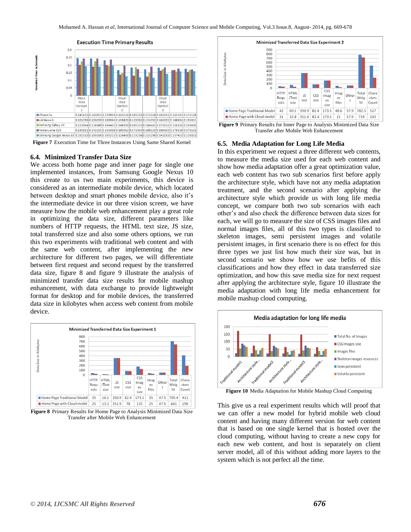

**Figure 7** Execution Time for Three Instances Using Same Shared Kernel

#### **6.4. Minimized Transfer Data Size**

We access both home page and inner page for single one implemented instances, from Samsung Google Nexus 10 this create to us two main experiments, this device is considered as an intermediate mobile device, which located between desktop and smart phones mobile device, also it's the intermediate device in our three vision screen, we have measure how the mobile web enhancement play a great role in optimizing the data size, different parameters like numbers of HTTP requests, the HTML text size, JS size, total transferred size and also some others options, we run this two experiments with traditional web content and with the same web content, after implementing the new architecture for different two pages, we will differentiate between first request and second request by the transferred data size, figure 8 and figure 9 illustrate the analysis of minimized transfer data size results for mobile mashup enhancement, with data exchange to provide lightweight format for desktop and for mobile devices, the transferred data size in kilobytes when access web content from mobile device.



**Figure 8** Primary Results for Home Page to Analysis Minimized Data Size Transfer after Mobile Web Enhancement



**Figure 9** Primary Results for Inner Page to Analysis Minimized Data Size Transfer after Mobile Web Enhancement

#### **6.5. Media Adaptation for Long Life Media**

In this experiment we request a three different web contents, to measure the media size used for each web content and show how media adaptation offer a great optimization value, each web content has two sub scenarios first before apply the architecture style, which have not any media adaptation treatment, and the second scenario after applying the architecture style which provide us with long life media concept, we compare both two sub scenarios with each other's and also check the difference between data sizes for each, we will go to measure the size of CSS images files and normal images files, all of this two types is classified to skeleton images, semi persistent images and volatile persistent images, in first scenario there is no effect for this three types we just list how much their size was, but in second scenario we show how we use befits of this classifications and how they effect in data transferred size optimization, and how this save media size for next request after applying the architecture style, figure 10 illustrate the media adaptation with long life media enhancement for mobile mashup cloud computing.



**Figure 10** Media Adaptation for Mobile Mashup Cloud Computing

This give us a real experiment results which will proof that we can offer a new model for hybrid mobile web cloud content and having many different version for web content that is based on one single kernel that is hosted over the cloud computing, without having to create a new copy for each new web content, and host is separately on client server model, all of this without adding more layers to the system which is not perfect all the time.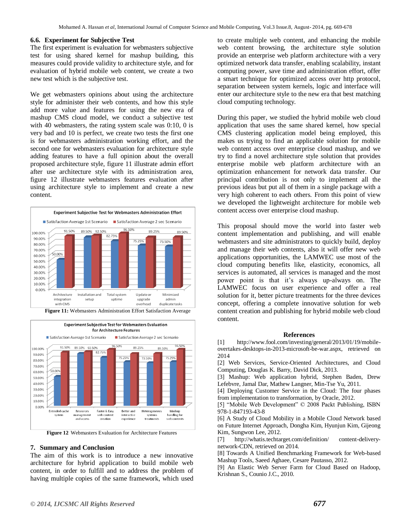#### **6.6. Experiment for Subjective Test**

The first experiment is evaluation for webmasters subjective test for using shared kernel for mashup building, this measures could provide validity to architecture style, and for evaluation of hybrid mobile web content, we create a two new test which is the subjective test.

We get webmasters opinions about using the architecture style for administer their web contents, and how this style add more value and features for using the new era of mashup CMS cloud model, we conduct a subjective test with 40 webmasters, the rating system scale was 0:10, 0 is very bad and 10 is perfect, we create two tests the first one is for webmasters administration working effort, and the second one for webmasters evaluation for architecture style adding features to have a full opinion about the overall proposed architecture style, figure 11 illustrate admin effort after use architecture style with its administration area, figure 12 illustrate webmasters features evaluation after using architecture style to implement and create a new content.







**Figure 12** Webmasters Evaluation for Architecture Features

#### **7. Summary and Conclusion**

The aim of this work is to introduce a new innovative architecture for hybrid application to build mobile web content, in order to fulfill and to address the problem of having multiple copies of the same framework, which used to create multiple web content, and enhancing the mobile web content browsing, the architecture style solution provide an enterprise web platform architecture with a very optimized network data transfer, enabling scalability, instant computing power, save time and administration effort, offer a smart technique for optimized access over http protocol, separation between system kernels, logic and interface will enter our architecture style to the new era that best matching cloud computing technology.

During this paper, we studied the hybrid mobile web cloud application that uses the same shared kernel, how special CMS clustering application model being employed, this makes us trying to find an applicable solution for mobile web content access over enterprise cloud mashup, and we try to find a novel architecture style solution that provides enterprise mobile web platform architecture with an optimization enhancement for network data transfer. Our principal contribution is not only to implement all the previous ideas but put all of them in a single package with a very high coherent to each others. From this point of view we developed the lightweight architecture for mobile web content access over enterprise cloud mashup.

This proposal should move the world into faster web content implementation and publishing, and will enable webmasters and site administrators to quickly build, deploy and manage their web contents, also it will offer new web applications opportunities, the LAMWEC use most of the cloud computing benefits like, elasticity, economics, all services is automated, all services is managed and the most power point is that it's always up-always on. The LAMWEC focus on user experience and offer a real solution for it, better picture treatments for the three devices concept, offering a complete innovative solution for web content creation and publishing for hybrid mobile web cloud content.

#### **References**

[1] http://www.fool.com/investing/general/2013/01/19/mobileovertakes-desktops-in-2013-microsoft-be-war.aspx, retrieved on 2014

[2] Web Services, Service-Oriented Architectures, and Cloud Computing, Douglas K. Barry, David Dick, 2013.

[3] Mashup: Web application hybrid, Stephen Baden, Drew Lefebvre, Jamal Dar, Mathew Langner, Min-Tse Yu, 2011.

[4] Deploying Customer Service in the Cloud: The four phases from implementation to transformation, by Oracle, 2012.

[5] "Mobile Web Development" © 2008 Packt Publishing, ISBN 978-1-847193-43-8

[6] A Study of Cloud Mobility in a Mobile Cloud Network based on Future Internet Approach, Dongha Kim, Hyunjun Kim, Gijeong Kim, Sungwon Lee, 2012.

[7] http://whatis.techtarget.com/definition/ content-deliverynetwork-CDN, retrieved on 2014.

[8] Towards A Unified Benchmarking Framework for Web-based Mashup Tools, Saeed Aghaee, Cesare Pautasso, 2012.

[9] An Elastic Web Server Farm for Cloud Based on Hadoop, Krishnan S., Counio J.C., 2010.